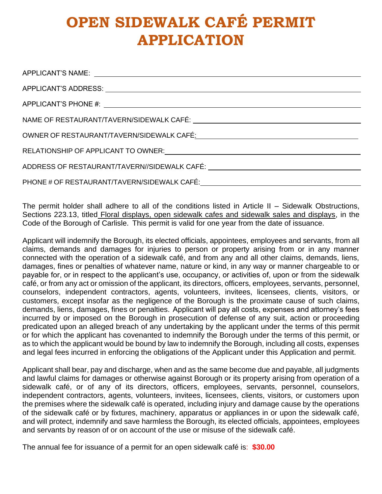# **OPEN SIDEWALK CAFÉ PERMIT APPLICATION**

| NAME OF RESTAURANT/TAVERN/SIDEWALK CAFÉ: University of the state of the state of the state of the state of the |
|----------------------------------------------------------------------------------------------------------------|
|                                                                                                                |
|                                                                                                                |
| ADDRESS OF RESTAURANT/TAVERN//SIDEWALK CAFÉ: ___________________________________                               |
|                                                                                                                |

The permit holder shall adhere to all of the conditions listed in Article II – Sidewalk Obstructions, Sections 223.13, titled Floral displays, open sidewalk cafes and sidewalk sales and displays, in the Code of the Borough of Carlisle. This permit is valid for one year from the date of issuance.

Applicant will indemnify the Borough, its elected officials, appointees, employees and servants, from all claims, demands and damages for injuries to person or property arising from or in any manner connected with the operation of a sidewalk café, and from any and all other claims, demands, liens, damages, fines or penalties of whatever name, nature or kind, in any way or manner chargeable to or payable for, or in respect to the applicant's use, occupancy, or activities of, upon or from the sidewalk café, or from any act or omission of the applicant, its directors, officers, employees, servants, personnel, counselors, independent contractors, agents, volunteers, invitees, licensees, clients, visitors, or customers, except insofar as the negligence of the Borough is the proximate cause of such claims, demands, liens, damages, fines or penalties. Applicant will pay all costs, expenses and attorney's fees incurred by or imposed on the Borough in prosecution of defense of any suit, action or proceeding predicated upon an alleged breach of any undertaking by the applicant under the terms of this permit or for which the applicant has covenanted to indemnify the Borough under the terms of this permit, or as to which the applicant would be bound by law to indemnify the Borough, including all costs, expenses and legal fees incurred in enforcing the obligations of the Applicant under this Application and permit.

Applicant shall bear, pay and discharge, when and as the same become due and payable, all judgments and lawful claims for damages or otherwise against Borough or its property arising from operation of a sidewalk café, or of any of its directors, officers, employees, servants, personnel, counselors, independent contractors, agents, volunteers, invitees, licensees, clients, visitors, or customers upon the premises where the sidewalk café is operated, including injury and damage cause by the operations of the sidewalk café or by fixtures, machinery, apparatus or appliances in or upon the sidewalk café, and will protect, indemnify and save harmless the Borough, its elected officials, appointees, employees and servants by reason of or on account of the use or misuse of the sidewalk café.

The annual fee for issuance of a permit for an open sidewalk café is: **\$30.00**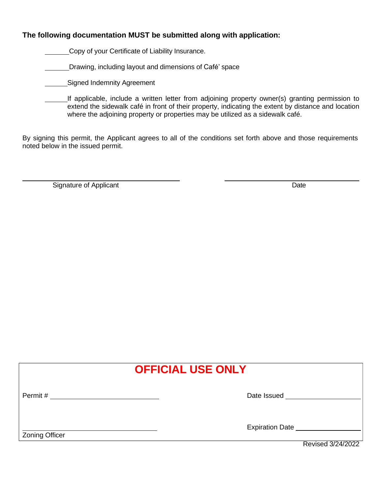## **The following documentation MUST be submitted along with application:**

Copy of your Certificate of Liability Insurance.

Drawing, including layout and dimensions of Café' space

- **Signed Indemnity Agreement** 
	- If applicable, include a written letter from adjoining property owner(s) granting permission to extend the sidewalk café in front of their property, indicating the extent by distance and location where the adjoining property or properties may be utilized as a sidewalk café.

By signing this permit, the Applicant agrees to all of the conditions set forth above and those requirements noted below in the issued permit.

Signature of Applicant Date

| <b>OFFICIAL USE ONLY</b> |                                             |  |
|--------------------------|---------------------------------------------|--|
| Permit #                 | Date Issued                                 |  |
| <b>Zoning Officer</b>    | <b>Expiration Date</b><br>Revised 3/24/2022 |  |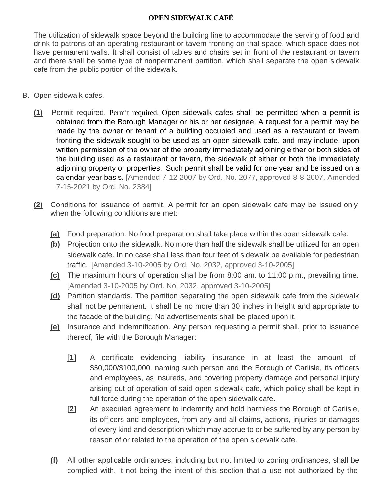# **OPEN SIDEWALK CAFÉ**

The utilization of sidewalk space beyond the building line to accommodate the serving of food and drink to patrons of an operating restaurant or tavern fronting on that space, which space does not have permanent walls. It shall consist of tables and chairs set in front of the restaurant or tavern and there shall be some type of nonpermanent partition, which shall separate the open sidewalk cafe from the public portion of the sidewalk.

- B. Open sidewalk cafes.
	- **(1)** Permit required. Permit required. Open sidewalk cafes shall be permitted when a permit is obtained from the Borough Manager or his or her designee. A request for a permit may be made by the owner or tenant of a building occupied and used as a restaurant or tavern fronting the sidewalk sought to be used as an open sidewalk cafe, and may include, upon written permission of the owner of the property immediately adjoining either or both sides of the building used as a restaurant or tavern, the sidewalk of either or both the immediately adjoining property or properties. Such permit shall be valid for one year and be issued on a calendar-year basis. [Amended 7-12-2007 by Ord. No. 2077, approved 8-8-2007, Amended 7-15-2021 by Ord. No. 2384]
	- **(2)** Conditions for issuance of permit. A permit for an open sidewalk cafe may be issued only when the following conditions are met:
		- **(a)** Food preparation. No food preparation shall take place within the open sidewalk cafe.
		- **(b)** Projection onto the sidewalk. No more than half the sidewalk shall be utilized for an open sidewalk cafe. In no case shall less than four feet of sidewalk be available for pedestrian traffic. [Amended 3-10-2005 by Ord. No. 2032, approved 3-10-2005]
		- **(c)** The maximum hours of operation shall be from 8:00 am. to 11:00 p.m., prevailing time. [Amended 3-10-2005 by Ord. No. 2032, approved 3-10-2005]
		- **(d)** Partition standards. The partition separating the open sidewalk cafe from the sidewalk shall not be permanent. It shall be no more than 30 inches in height and appropriate to the facade of the building. No advertisements shall be placed upon it.
		- **(e)** Insurance and indemnification. Any person requesting a permit shall, prior to issuance thereof, file with the Borough Manager:
			- **[1]** A certificate evidencing liability insurance in at least the amount of \$50,000/\$100,000, naming such person and the Borough of Carlisle, its officers and employees, as insureds, and covering property damage and personal injury arising out of operation of said open sidewalk cafe, which policy shall be kept in full force during the operation of the open sidewalk cafe.
			- **[2]** An executed agreement to indemnify and hold harmless the Borough of Carlisle, its officers and employees, from any and all claims, actions, injuries or damages of every kind and description which may accrue to or be suffered by any person by reason of or related to the operation of the open sidewalk cafe.
		- **(f)** All other applicable ordinances, including but not limited to zoning ordinances, shall be complied with, it not being the intent of this section that a use not authorized by the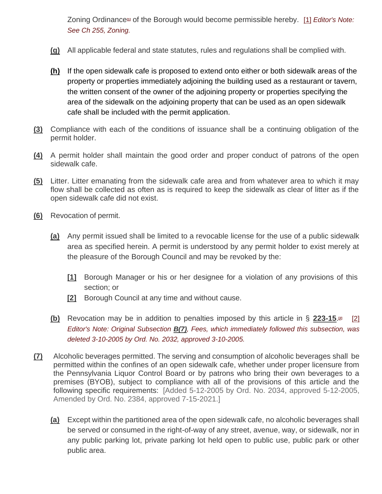Zoning Ordinance<sup>th</sup> of the Borough would become permissible hereby. [\[1\]](https://ecode360.com/10682058?highlight&searchId=12881001746939994&ref10682079-1) *Editor's Note: See Ch 255, Zoning.*

- **(g)** All applicable federal and state statutes, rules and regulations shall be complied with.
- **(h)** If the open sidewalk cafe is proposed to extend onto either or both sidewalk areas of the property or properties immediately adjoining the building used as a restaurant or tavern, the written consent of the owner of the adjoining property or properties specifying the area of the sidewalk on the adjoining property that can be used as an open sidewalk cafe shall be included with the permit application.
- **(3)** Compliance with each of the conditions of issuance shall be a continuing obligation of the permit holder.
- **(4)** A permit holder shall maintain the good order and proper conduct of patrons of the open sidewalk cafe.
- **(5)** Litter. Litter emanating from the sidewalk cafe area and from whatever area to which it may flow shall be collected as often as is required to keep the sidewalk as clear of litter as if the open sidewalk cafe did not exist.
- **(6)** Revocation of permit.
	- **(a)** Any permit issued shall be limited to a revocable license for the use of a public sidewalk area as specified herein. A permit is understood by any permit holder to exist merely at the pleasure of the Borough Council and may be revoked by the:
		- **[1]** Borough Manager or his or her designee for a violation of any provisions of this section; or
		- **[2]** Borough Council at any time and without cause.
	- **(b)** Revocation may be in addition to penalties imposed by this article in § **[223-15](https://ecode360.com/10682110#10682110)**[.](https://ecode360.com/10682058?highlight&searchId=12881001746939994&ft10682088-2) **[2]** [\[2\]](https://ecode360.com/10682058?highlight&searchId=12881001746939994&ref10682088-2) *Editor's Note: Original Subsection [B\(7\)](https://ecode360.com/10682089#10682089), Fees, which immediately followed this subsection, was deleted 3-10-2005 by Ord. No. 2032, approved 3-10-2005.*
- **(7)** Alcoholic beverages permitted. The serving and consumption of alcoholic beverages shall be permitted within the confines of an open sidewalk cafe, whether under proper licensure from the Pennsylvania Liquor Control Board or by patrons who bring their own beverages to a premises (BYOB), subject to compliance with all of the provisions of this article and the following specific requirements: [Added 5-12-2005 by Ord. No. 2034, approved 5-12-2005, Amended by Ord. No. 2384, approved 7-15-2021.]
	- **(a)** Except within the partitioned area of the open sidewalk cafe, no alcoholic beverages shall be served or consumed in the right-of-way of any street, avenue, way, or sidewalk, nor in any public parking lot, private parking lot held open to public use, public park or other public area.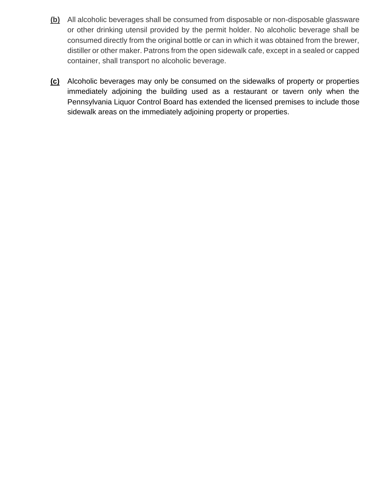- **(b)** All alcoholic beverages shall be consumed from disposable or non-disposable glassware or other drinking utensil provided by the permit holder. No alcoholic beverage shall be consumed directly from the original bottle or can in which it was obtained from the brewer, distiller or other maker. Patrons from the open sidewalk cafe, except in a sealed or capped container, shall transport no alcoholic beverage.
- **(c)** Alcoholic beverages may only be consumed on the sidewalks of property or properties immediately adjoining the building used as a restaurant or tavern only when the Pennsylvania Liquor Control Board has extended the licensed premises to include those sidewalk areas on the immediately adjoining property or properties.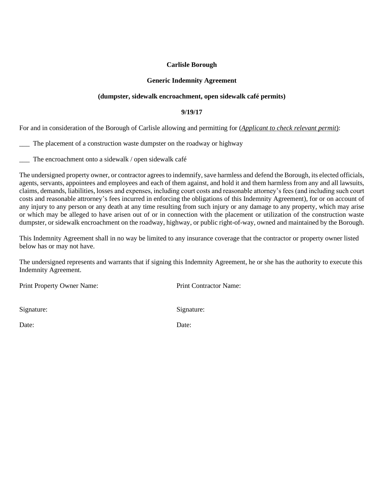## **Carlisle Borough**

#### **Generic Indemnity Agreement**

## **(dumpster, sidewalk encroachment, open sidewalk café permits)**

#### **9/19/17**

For and in consideration of the Borough of Carlisle allowing and permitting for (*Applicant to check relevant permit*):

\_\_\_ The placement of a construction waste dumpster on the roadway or highway

\_\_\_ The encroachment onto a sidewalk / open sidewalk café

The undersigned property owner, or contractor agrees to indemnify, save harmless and defend the Borough, its elected officials, agents, servants, appointees and employees and each of them against, and hold it and them harmless from any and all lawsuits, claims, demands, liabilities, losses and expenses, including court costs and reasonable attorney's fees (and including such court costs and reasonable attrorney's fees incurred in enforcing the obligations of this Indemnity Agreement), for or on account of any injury to any person or any death at any time resulting from such injury or any damage to any property, which may arise or which may be alleged to have arisen out of or in connection with the placement or utilization of the construction waste dumpster, or sidewalk encroachment on the roadway, highway, or public right-of-way, owned and maintained by the Borough.

This Indemnity Agreement shall in no way be limited to any insurance coverage that the contractor or property owner listed below has or may not have.

The undersigned represents and warrants that if signing this Indemnity Agreement, he or she has the authority to execute this Indemnity Agreement.

Print Property Owner Name: Print Contractor Name:

Signature: Signature: Signature:

Date: Date: